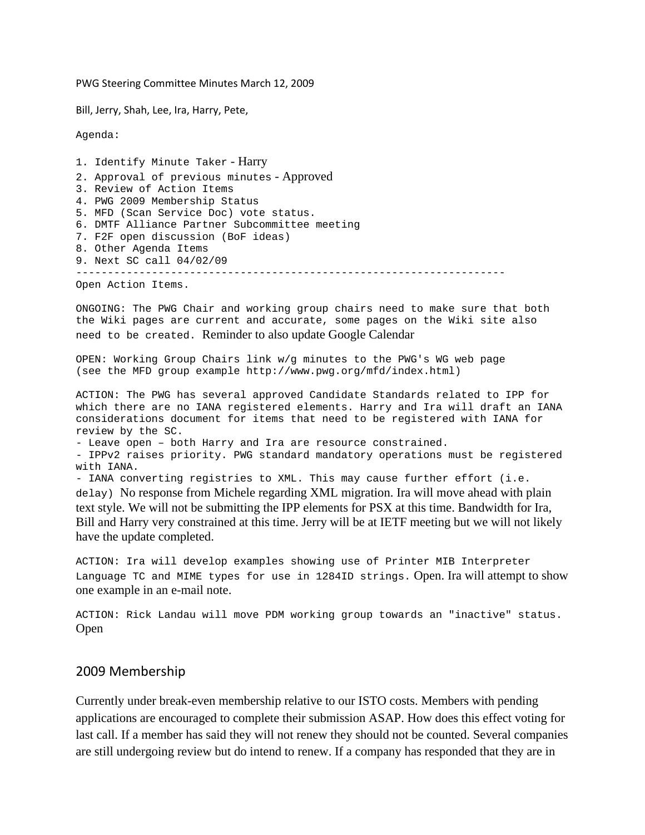PWG Steering Committee Minutes March 12, 2009

Bill, Jerry, Shah, Lee, Ira, Harry, Pete,

Agenda:

1. Identify Minute Taker - Harry 2. Approval of previous minutes - Approved 3. Review of Action Items 4. PWG 2009 Membership Status 5. MFD (Scan Service Doc) vote status. 6. DMTF Alliance Partner Subcommittee meeting 7. F2F open discussion (BoF ideas) 8. Other Agenda Items 9. Next SC call 04/02/09 --------------------------------------------------------------------

Open Action Items.

ONGOING: The PWG Chair and working group chairs need to make sure that both the Wiki pages are current and accurate, some pages on the Wiki site also need to be created. Reminder to also update Google Calendar

OPEN: Working Group Chairs link w/g minutes to the PWG's WG web page (see the MFD group example http://www.pwg.org/mfd/index.html)

ACTION: The PWG has several approved Candidate Standards related to IPP for which there are no IANA registered elements. Harry and Ira will draft an IANA considerations document for items that need to be registered with IANA for review by the SC.

- Leave open – both Harry and Ira are resource constrained.

- IPPv2 raises priority. PWG standard mandatory operations must be registered with IANA.

- IANA converting registries to XML. This may cause further effort (i.e. delay) No response from Michele regarding XML migration. Ira will move ahead with plain text style. We will not be submitting the IPP elements for PSX at this time. Bandwidth for Ira, Bill and Harry very constrained at this time. Jerry will be at IETF meeting but we will not likely have the update completed.

ACTION: Ira will develop examples showing use of Printer MIB Interpreter Language TC and MIME types for use in 1284ID strings. Open. Ira will attempt to show one example in an e-mail note.

ACTION: Rick Landau will move PDM working group towards an "inactive" status. Open

## 2009 Membership

Currently under break-even membership relative to our ISTO costs. Members with pending applications are encouraged to complete their submission ASAP. How does this effect voting for last call. If a member has said they will not renew they should not be counted. Several companies are still undergoing review but do intend to renew. If a company has responded that they are in